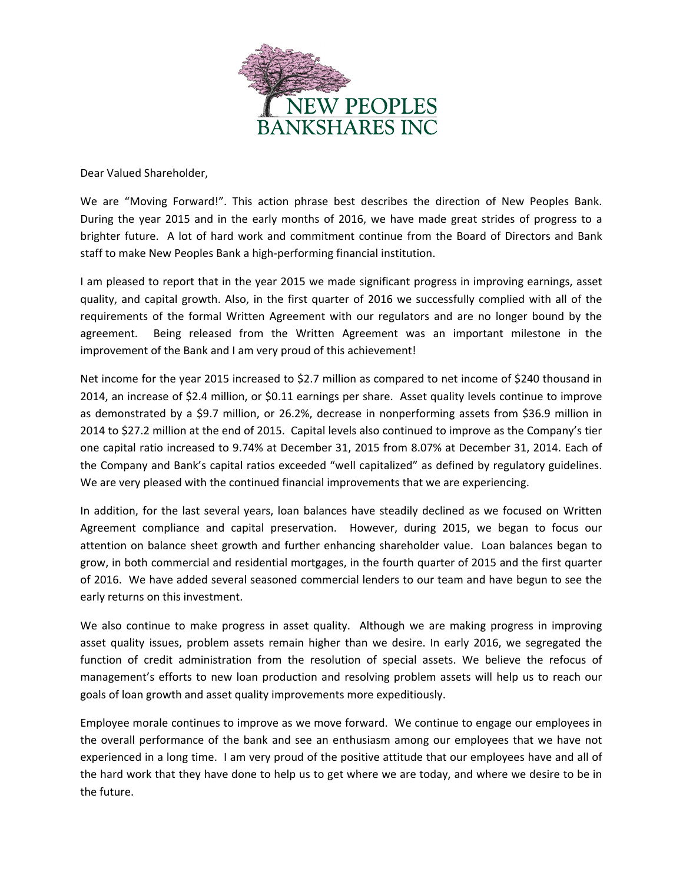

Dear Valued Shareholder,

We are "Moving Forward!". This action phrase best describes the direction of New Peoples Bank. During the year 2015 and in the early months of 2016, we have made great strides of progress to a brighter future. A lot of hard work and commitment continue from the Board of Directors and Bank staff to make New Peoples Bank a high‐performing financial institution.

I am pleased to report that in the year 2015 we made significant progress in improving earnings, asset quality, and capital growth. Also, in the first quarter of 2016 we successfully complied with all of the requirements of the formal Written Agreement with our regulators and are no longer bound by the agreement. Being released from the Written Agreement was an important milestone in the improvement of the Bank and I am very proud of this achievement!

Net income for the year 2015 increased to \$2.7 million as compared to net income of \$240 thousand in 2014, an increase of \$2.4 million, or \$0.11 earnings per share. Asset quality levels continue to improve as demonstrated by a \$9.7 million, or 26.2%, decrease in nonperforming assets from \$36.9 million in 2014 to \$27.2 million at the end of 2015. Capital levels also continued to improve as the Company's tier one capital ratio increased to 9.74% at December 31, 2015 from 8.07% at December 31, 2014. Each of the Company and Bank's capital ratios exceeded "well capitalized" as defined by regulatory guidelines. We are very pleased with the continued financial improvements that we are experiencing.

In addition, for the last several years, loan balances have steadily declined as we focused on Written Agreement compliance and capital preservation. However, during 2015, we began to focus our attention on balance sheet growth and further enhancing shareholder value. Loan balances began to grow, in both commercial and residential mortgages, in the fourth quarter of 2015 and the first quarter of 2016. We have added several seasoned commercial lenders to our team and have begun to see the early returns on this investment.

We also continue to make progress in asset quality. Although we are making progress in improving asset quality issues, problem assets remain higher than we desire. In early 2016, we segregated the function of credit administration from the resolution of special assets. We believe the refocus of management's efforts to new loan production and resolving problem assets will help us to reach our goals of loan growth and asset quality improvements more expeditiously.

Employee morale continues to improve as we move forward. We continue to engage our employees in the overall performance of the bank and see an enthusiasm among our employees that we have not experienced in a long time. I am very proud of the positive attitude that our employees have and all of the hard work that they have done to help us to get where we are today, and where we desire to be in the future.